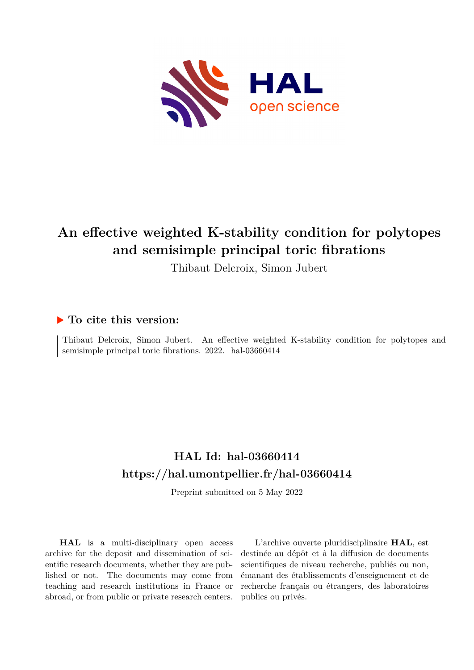

# **An effective weighted K-stability condition for polytopes and semisimple principal toric fibrations**

Thibaut Delcroix, Simon Jubert

# **To cite this version:**

Thibaut Delcroix, Simon Jubert. An effective weighted K-stability condition for polytopes and semisimple principal toric fibrations. 2022. hal-03660414

# **HAL Id: hal-03660414 <https://hal.umontpellier.fr/hal-03660414>**

Preprint submitted on 5 May 2022

**HAL** is a multi-disciplinary open access archive for the deposit and dissemination of scientific research documents, whether they are published or not. The documents may come from teaching and research institutions in France or abroad, or from public or private research centers.

L'archive ouverte pluridisciplinaire **HAL**, est destinée au dépôt et à la diffusion de documents scientifiques de niveau recherche, publiés ou non, émanant des établissements d'enseignement et de recherche français ou étrangers, des laboratoires publics ou privés.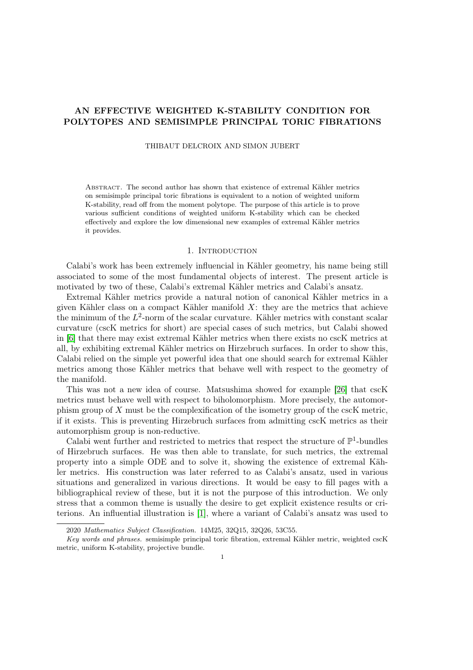# AN EFFECTIVE WEIGHTED K-STABILITY CONDITION FOR POLYTOPES AND SEMISIMPLE PRINCIPAL TORIC FIBRATIONS

THIBAUT DELCROIX AND SIMON JUBERT

Abstract. The second author has shown that existence of extremal Kähler metrics on semisimple principal toric fibrations is equivalent to a notion of weighted uniform K-stability, read off from the moment polytope. The purpose of this article is to prove various sufficient conditions of weighted uniform K-stability which can be checked effectively and explore the low dimensional new examples of extremal Kähler metrics it provides.

# 1. INTRODUCTION

Calabi's work has been extremely influencial in Kähler geometry, his name being still associated to some of the most fundamental objects of interest. The present article is motivated by two of these, Calabi's extremal Kähler metrics and Calabi's ansatz.

Extremal Kähler metrics provide a natural notion of canonical Kähler metrics in a given Kähler class on a compact Kähler manifold  $X$ : they are the metrics that achieve the minimum of the  $L^2$ -norm of the scalar curvature. Kähler metrics with constant scalar curvature (cscK metrics for short) are special cases of such metrics, but Calabi showed in [6] that there may exist extremal Kähler metrics when there exists no cscK metrics at all, by exhibiting extremal Kähler metrics on Hirzebruch surfaces. In order to show this, Calabi relied on the simple yet powerful idea that one should search for extremal Kähler metrics among those Kähler metrics that behave well with respect to the geometry of the manifold.

This was not a new idea of course. Matsushima showed for example [26] that cscK metrics must behave well with respect to biholomorphism. More precisely, the automorphism group of X must be the complexification of the isometry group of the cscK metric, if it exists. This is preventing Hirzebruch surfaces from admitting cscK metrics as their automorphism group is non-reductive.

Calabi went further and restricted to metrics that respect the structure of  $\mathbb{P}^1$ -bundles of Hirzebruch surfaces. He was then able to translate, for such metrics, the extremal property into a simple ODE and to solve it, showing the existence of extremal Kähler metrics. His construction was later referred to as Calabi's ansatz, used in various situations and generalized in various directions. It would be easy to fill pages with a bibliographical review of these, but it is not the purpose of this introduction. We only stress that a common theme is usually the desire to get explicit existence results or criterions. An influential illustration is [1], where a variant of Calabi's ansatz was used to

<sup>2020</sup> Mathematics Subject Classification. 14M25, 32Q15, 32Q26, 53C55.

Key words and phrases. semisimple principal toric fibration, extremal Kähler metric, weighted cscK metric, uniform K-stability, projective bundle.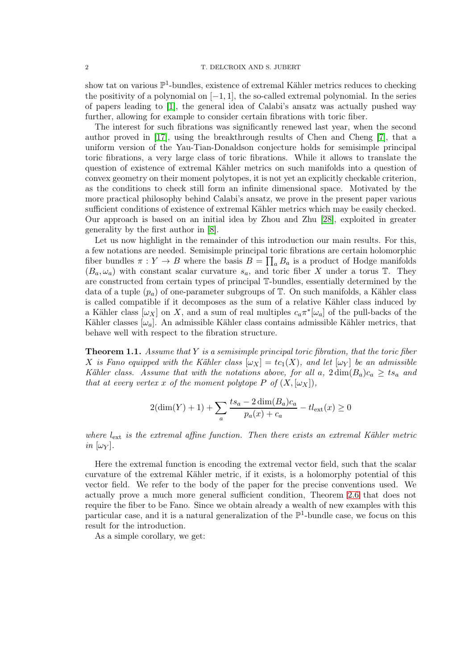show tat on various  $\mathbb{P}^1$ -bundles, existence of extremal Kähler metrics reduces to checking the positivity of a polynomial on  $[-1, 1]$ , the so-called extremal polynomial. In the series of papers leading to [1], the general idea of Calabi's ansatz was actually pushed way further, allowing for example to consider certain fibrations with toric fiber.

The interest for such fibrations was significantly renewed last year, when the second author proved in [17], using the breakthrough results of Chen and Cheng [7], that a uniform version of the Yau-Tian-Donaldson conjecture holds for semisimple principal toric fibrations, a very large class of toric fibrations. While it allows to translate the question of existence of extremal Kähler metrics on such manifolds into a question of convex geometry on their moment polytopes, it is not yet an explicitly checkable criterion, as the conditions to check still form an infinite dimensional space. Motivated by the more practical philosophy behind Calabi's ansatz, we prove in the present paper various sufficient conditions of existence of extremal Kähler metrics which may be easily checked. Our approach is based on an initial idea by Zhou and Zhu [28], exploited in greater generality by the first author in [8].

Let us now highlight in the remainder of this introduction our main results. For this, a few notations are needed. Semisimple principal toric fibrations are certain holomorphic fiber bundles  $\pi: Y \to B$  where the basis  $B = \prod_a B_a$  is a product of Hodge manifolds  $(B_a, \omega_a)$  with constant scalar curvature  $s_a$ , and toric fiber X under a torus T. They are constructed from certain types of principal T-bundles, essentially determined by the data of a tuple  $(p_a)$  of one-parameter subgroups of  $\mathbb T$ . On such manifolds, a Kähler class is called compatible if it decomposes as the sum of a relative Kähler class induced by a Kähler class  $[\omega_X]$  on X, and a sum of real multiples  $c_a \pi^*[\omega_a]$  of the pull-backs of the Kähler classes  $[\omega_a]$ . An admissible Kähler class contains admissible Kähler metrics, that behave well with respect to the fibration structure.

**Theorem 1.1.** Assume that  $Y$  is a semisimple principal toric fibration, that the toric fiber X is Fano equipped with the Kähler class  $[\omega_X] = tc_1(X)$ , and let  $[\omega_Y]$  be an admissible Kähler class. Assume that with the notations above, for all a,  $2 \dim(B_a)c_a \geq ts_a$  and that at every vertex x of the moment polytope P of  $(X, [\omega_X]),$ 

$$
2(\dim(Y) + 1) + \sum_{a} \frac{ts_a - 2\dim(B_a)c_a}{p_a(x) + c_a} - tl_{\text{ext}}(x) \ge 0
$$

where  $l_{\text{ext}}$  is the extremal affine function. Then there exists an extremal Kähler metric in  $[\omega_Y]$ .

Here the extremal function is encoding the extremal vector field, such that the scalar curvature of the extremal Kähler metric, if it exists, is a holomorphy potential of this vector field. We refer to the body of the paper for the precise conventions used. We actually prove a much more general sufficient condition, Theorem 2.6 that does not require the fiber to be Fano. Since we obtain already a wealth of new examples with this particular case, and it is a natural generalization of the  $\mathbb{P}^1$ -bundle case, we focus on this result for the introduction.

As a simple corollary, we get: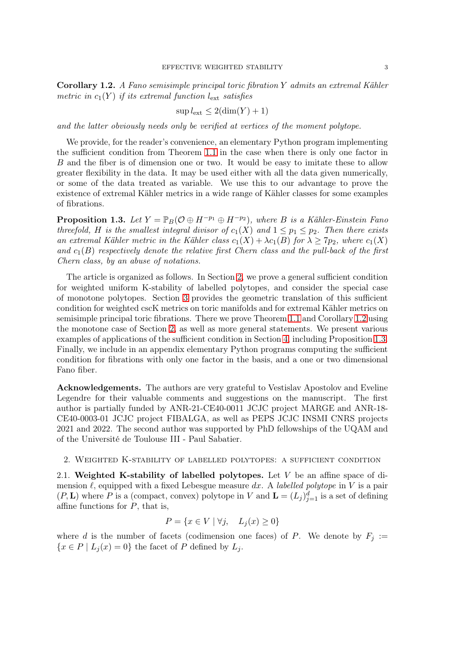Corollary 1.2. A Fano semisimple principal toric fibration Y admits an extremal Kähler metric in  $c_1(Y)$  if its extremal function  $l_{\text{ext}}$  satisfies

$$
\sup l_{\text{ext}} \le 2(\dim(Y) + 1)
$$

and the latter obviously needs only be verified at vertices of the moment polytope.

We provide, for the reader's convenience, an elementary Python program implementing the sufficient condition from Theorem 1.1 in the case when there is only one factor in B and the fiber is of dimension one or two. It would be easy to imitate these to allow greater flexibility in the data. It may be used either with all the data given numerically, or some of the data treated as variable. We use this to our advantage to prove the existence of extremal Kähler metrics in a wide range of Kähler classes for some examples of fibrations.

**Proposition 1.3.** Let  $Y = \mathbb{P}_B(\mathcal{O} \oplus H^{-p_1} \oplus H^{-p_2})$ , where B is a Kähler-Einstein Fano threefold, H is the smallest integral divisor of  $c_1(X)$  and  $1 \leq p_1 \leq p_2$ . Then there exists an extremal Kähler metric in the Kähler class  $c_1(X) + \lambda c_1(B)$  for  $\lambda \geq 7p_2$ , where  $c_1(X)$ and  $c_1(B)$  respectively denote the relative first Chern class and the pull-back of the first Chern class, by an abuse of notations.

The article is organized as follows. In Section 2, we prove a general sufficient condition for weighted uniform K-stability of labelled polytopes, and consider the special case of monotone polytopes. Section 3 provides the geometric translation of this sufficient condition for weighted cscK metrics on toric manifolds and for extremal Kähler metrics on semisimple principal toric fibrations. There we prove Theorem 1.1 and Corollary 1.2 using the monotone case of Section 2, as well as more general statements. We present various examples of applications of the sufficient condition in Section 4, including Proposition 1.3. Finally, we include in an appendix elementary Python programs computing the sufficient condition for fibrations with only one factor in the basis, and a one or two dimensional Fano fiber.

Acknowledgements. The authors are very grateful to Vestislav Apostolov and Eveline Legendre for their valuable comments and suggestions on the manuscript. The first author is partially funded by ANR-21-CE40-0011 JCJC project MARGE and ANR-18- CE40-0003-01 JCJC project FIBALGA, as well as PEPS JCJC INSMI CNRS projects 2021 and 2022. The second author was supported by PhD fellowships of the UQAM and of the Université de Toulouse III - Paul Sabatier.

2. Weighted K-stability of labelled polytopes: a sufficient condition

2.1. Weighted K-stability of labelled polytopes. Let V be an affine space of dimension  $\ell$ , equipped with a fixed Lebesgue measure dx. A labelled polytope in V is a pair  $(P, L)$  where P is a (compact, convex) polytope in V and  $L = (L_j)_{j=1}^d$  is a set of defining affine functions for  $P$ , that is,

$$
P = \{ x \in V \mid \forall j, \quad L_j(x) \ge 0 \}
$$

where d is the number of facets (codimension one faces) of P. We denote by  $F_i :=$  ${x \in P | L_j(x) = 0}$  the facet of P defined by  $L_j$ .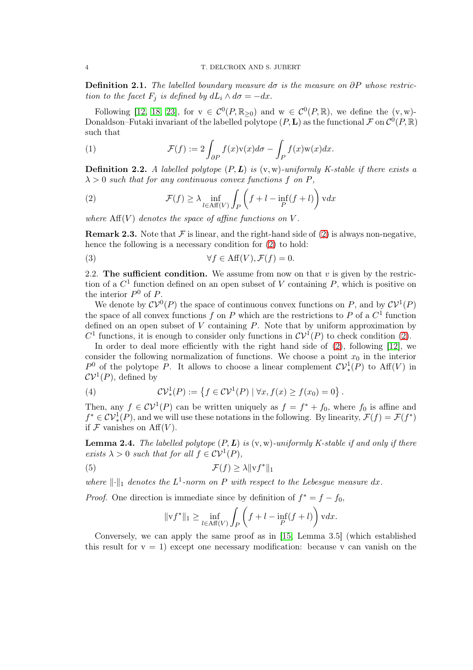**Definition 2.1.** The labelled boundary measure do is the measure on  $\partial P$  whose restriction to the facet  $F_i$  is defined by  $dL_i \wedge d\sigma = -dx$ .

Following [12, 18, 23], for  $v \in C^0(P,\mathbb{R}_{\geq 0})$  and  $w \in C^0(P,\mathbb{R})$ , we define the  $(v,w)$ -Donaldson–Futaki invariant of the labelled polytope  $(P, L)$  as the functional  $\mathcal F$  on  $\mathcal C^0(P, \mathbb R)$ such that

(1) 
$$
\mathcal{F}(f) := 2 \int_{\partial P} f(x) v(x) d\sigma - \int_{P} f(x) w(x) dx.
$$

**Definition 2.2.** A labelled polytope  $(P, L)$  is  $(v, w)$ -uniformly K-stable if there exists a  $\lambda > 0$  such that for any continuous convex functions f on P,

(2) 
$$
\mathcal{F}(f) \geq \lambda \inf_{l \in \text{Aff}(V)} \int_{P} \left( f + l - \inf_{P} (f + l) \right) \text{v} dx
$$

where  $\text{Aff}(V)$  denotes the space of affine functions on V.

**Remark 2.3.** Note that  $\mathcal F$  is linear, and the right-hand side of (2) is always non-negative, hence the following is a necessary condition for  $(2)$  to hold:

(3) 
$$
\forall f \in \text{Aff}(V), \mathcal{F}(f) = 0.
$$

2.2. The sufficient condition. We assume from now on that  $v$  is given by the restriction of a  $C<sup>1</sup>$  function defined on an open subset of V containing P, which is positive on the interior  $P^0$  of P.

We denote by  $\mathcal{CV}^0(P)$  the space of continuous convex functions on P, and by  $\mathcal{CV}^1(P)$ the space of all convex functions  $f$  on  $P$  which are the restrictions to  $P$  of a  $C<sup>1</sup>$  function defined on an open subset of  $V$  containing  $P$ . Note that by uniform approximation by  $C^1$  functions, it is enough to consider only functions in  $C\mathcal{V}^1(P)$  to check condition (2).

In order to deal more efficiently with the right hand side of (2), following [12], we consider the following normalization of functions. We choose a point  $x_0$  in the interior  $P^0$  of the polytope P. It allows to choose a linear complement  $CV_*^1(P)$  to  $Aff(V)$  in  $CV<sup>1</sup>(P)$ , defined by

(4) 
$$
\mathcal{CV}_{*}^{1}(P) := \left\{ f \in \mathcal{CV}^{1}(P) \mid \forall x, f(x) \ge f(x_{0}) = 0 \right\}.
$$

Then, any  $f \in \mathcal{CV}^1(P)$  can be written uniquely as  $f = f^* + f_0$ , where  $f_0$  is affine and  $f^* \in \mathcal{CV}_*^1(P)$ , and we will use these notations in the following. By linearity,  $\mathcal{F}(f) = \mathcal{F}(f^*)$ if  $\mathcal F$  vanishes on  $\mathrm{Aff}(V)$ .

**Lemma 2.4.** The labelled polytope  $(P, L)$  is  $(v, w)$ -uniformly K-stable if and only if there exists  $\lambda > 0$  such that for all  $f \in \mathcal{CV}^1(P)$ ,

(5) 
$$
\mathcal{F}(f) \ge \lambda \|\mathbf{v}f^*\|_1
$$

where  $\lVert \cdot \rVert_1$  denotes the  $L^1$ -norm on P with respect to the Lebesgue measure dx.

*Proof.* One direction is immediate since by definition of  $f^* = f - f_0$ ,

$$
\|\mathbf{v}f^*\|_1 \ge \inf_{l \in \text{Aff}(V)} \int_P \left(f + l - \inf_P(f + l)\right) \mathbf{v} dx.
$$

Conversely, we can apply the same proof as in [15, Lemma 3.5] (which established this result for  $v = 1$ ) except one necessary modification: because v can vanish on the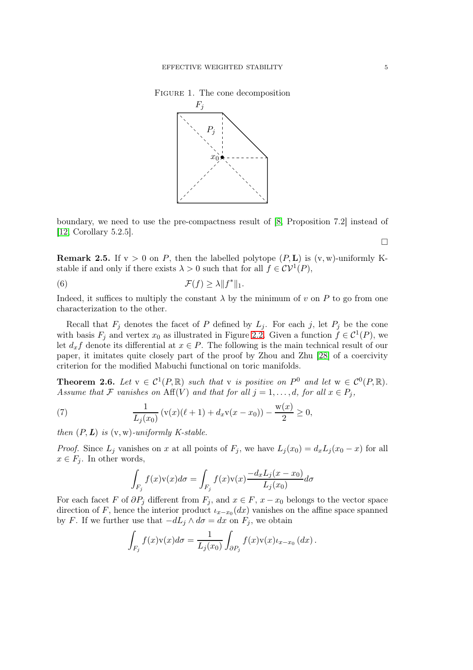Figure 1. The cone decomposition



boundary, we need to use the pre-compactness result of [8, Proposition 7.2] instead of [12, Corollary 5.2.5].

**Remark 2.5.** If  $v > 0$  on P, then the labelled polytope  $(P, L)$  is  $(v, w)$ -uniformly Kstable if and only if there exists  $\lambda > 0$  such that for all  $f \in \mathcal{CV}^1(P)$ ,

(6) 
$$
\mathcal{F}(f) \geq \lambda \|f^*\|_1.
$$

Indeed, it suffices to multiply the constant  $\lambda$  by the minimum of v on P to go from one characterization to the other.

Recall that  $F_j$  denotes the facet of P defined by  $L_j$ . For each j, let  $P_j$  be the cone with basis  $F_j$  and vertex  $x_0$  as illustrated in Figure 2.2. Given a function  $f \in C^1(P)$ , we let  $d_x f$  denote its differential at  $x \in P$ . The following is the main technical result of our paper, it imitates quite closely part of the proof by Zhou and Zhu [28] of a coercivity criterion for the modified Mabuchi functional on toric manifolds.

**Theorem 2.6.** Let  $v \in C^1(P,\mathbb{R})$  such that v is positive on  $P^0$  and let  $w \in C^0(P,\mathbb{R})$ . Assume that F vanishes on  $\text{Aff}(V)$  and that for all  $j = 1, \ldots, d$ , for all  $x \in P_j$ ,

(7) 
$$
\frac{1}{L_j(x_0)} \left( \mathbf{v}(x) (\ell+1) + d_x \mathbf{v}(x-x_0) \right) - \frac{\mathbf{w}(x)}{2} \ge 0,
$$

then  $(P, L)$  is  $(v, w)$ -uniformly K-stable.

*Proof.* Since  $L_j$  vanishes on x at all points of  $F_j$ , we have  $L_j(x_0) = d_x L_j(x_0 - x)$  for all  $x \in F_i$ . In other words,

$$
\int_{F_j} f(x)v(x)d\sigma = \int_{F_j} f(x)v(x) \frac{-d_x L_j(x - x_0)}{L_j(x_0)} d\sigma
$$

For each facet F of  $\partial P_j$  different from  $F_j$ , and  $x \in F$ ,  $x - x_0$  belongs to the vector space direction of F, hence the interior product  $\iota_{x-x_0}(dx)$  vanishes on the affine space spanned by F. If we further use that  $-dL_i \wedge d\sigma = dx$  on  $F_i$ , we obtain

$$
\int_{F_j} f(x) \mathbf{v}(x) d\sigma = \frac{1}{L_j(x_0)} \int_{\partial P_j} f(x) \mathbf{v}(x) \iota_{x-x_0} (dx).
$$

 $\Box$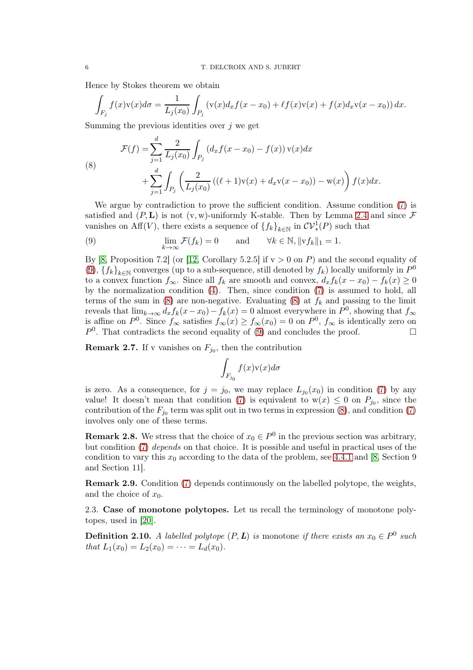Hence by Stokes theorem we obtain

$$
\int_{F_j} f(x) \mathbf{v}(x) d\sigma = \frac{1}{L_j(x_0)} \int_{P_j} (\mathbf{v}(x) d_x f(x - x_0) + \ell f(x) \mathbf{v}(x) + f(x) d_x \mathbf{v}(x - x_0)) dx.
$$

Summing the previous identities over  $j$  we get

(8)  

$$
\mathcal{F}(f) = \sum_{j=1}^{d} \frac{2}{L_j(x_0)} \int_{P_j} (d_x f(x - x_0) - f(x)) \mathbf{v}(x) dx + \sum_{j=1}^{d} \int_{P_j} \left( \frac{2}{L_j(x_0)} \left( (\ell + 1) \mathbf{v}(x) + d_x \mathbf{v}(x - x_0) \right) - \mathbf{w}(x) \right) f(x) dx.
$$

We argue by contradiction to prove the sufficient condition. Assume condition (7) is satisfied and  $(P, L)$  is not (v, w)-uniformly K-stable. Then by Lemma 2.4 and since F vanishes on Aff(V), there exists a sequence of  $\{f_k\}_{k\in\mathbb{N}}$  in  $\mathcal{CV}^1_*(P)$  such that

(9) 
$$
\lim_{k \to \infty} \mathcal{F}(f_k) = 0 \quad \text{and} \quad \forall k \in \mathbb{N}, ||\mathbf{v} f_k||_1 = 1.
$$

By [8, Proposition 7.2] (or [12, Corollary 5.2.5] if  $v > 0$  on P) and the second equality of (9),  ${f_k}_{k\in\mathbb{N}}$  converges (up to a sub-sequence, still denoted by  $f_k$ ) locally uniformly in  $P^0$ to a convex function  $f_{\infty}$ . Since all  $f_k$  are smooth and convex,  $d_x f_k(x - x_0) - f_k(x) \ge 0$ by the normalization condition (4). Then, since condition (7) is assumed to hold, all terms of the sum in (8) are non-negative. Evaluating (8) at  $f_k$  and passing to the limit reveals that  $\lim_{k\to\infty} d_x f_k(x-x_0) - f_k(x) = 0$  almost everywhere in  $P^0$ , showing that  $f_{\infty}$ is affine on  $P^0$ . Since  $f_{\infty}$  satisfies  $f_{\infty}(x) \ge f_{\infty}(x_0) = 0$  on  $P^0$ ,  $f_{\infty}$  is identically zero on  $P^0$ . That contradicts the second equality of (9) and concludes the proof.

**Remark 2.7.** If v vanishes on  $F_{j_0}$ , then the contribution

$$
\int_{F_{j_0}} f(x) \mathbf{v}(x) d\sigma
$$

is zero. As a consequence, for  $j = j_0$ , we may replace  $L_{j_0}(x_0)$  in condition (7) by any value! It doesn't mean that condition (7) is equivalent to  $w(x) \leq 0$  on  $P_{j_0}$ , since the contribution of the  $F_{j_0}$  term was split out in two terms in expression (8), and condition (7) involves only one of these terms.

**Remark 2.8.** We stress that the choice of  $x_0 \in P^0$  in the previous section was arbitrary, but condition (7) depends on that choice. It is possible and useful in practical uses of the condition to vary this  $x_0$  according to the data of the problem, see 4.4.1 and [8, Section 9] and Section 11].

Remark 2.9. Condition (7) depends continuously on the labelled polytope, the weights, and the choice of  $x_0$ .

2.3. Case of monotone polytopes. Let us recall the terminology of monotone polytopes, used in [20].

**Definition 2.10.** A labelled polytope  $(P, L)$  is monotone if there exists an  $x_0 \in P^0$  such that  $L_1(x_0) = L_2(x_0) = \cdots = L_d(x_0)$ .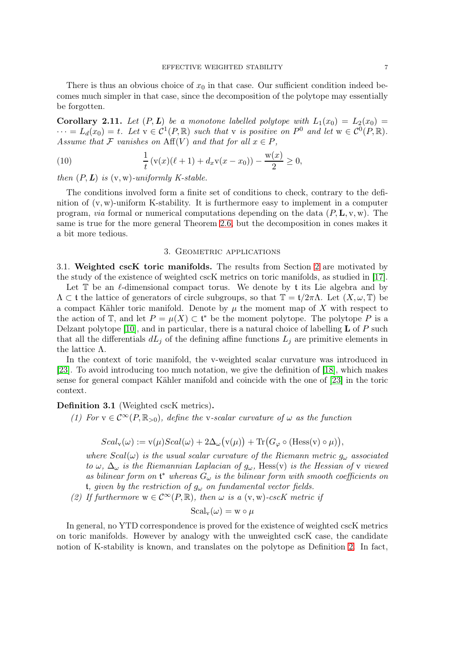There is thus an obvious choice of  $x_0$  in that case. Our sufficient condition indeed becomes much simpler in that case, since the decomposition of the polytope may essentially be forgotten.

Corollary 2.11. Let  $(P, L)$  be a monotone labelled polytope with  $L_1(x_0) = L_2(x_0)$  $\cdots = L_d(x_0) = t$ . Let  $v \in C^1(P, \mathbb{R})$  such that v is positive on  $P^0$  and let  $w \in C^0(P, \mathbb{R})$ . Assume that F vanishes on  $\text{Aff}(V)$  and that for all  $x \in P$ ,

(10) 
$$
\frac{1}{t}(v(x)(\ell+1) + d_x v(x-x_0)) - \frac{w(x)}{2} \ge 0,
$$

then  $(P, L)$  is  $(v, w)$ -uniformly K-stable.

The conditions involved form a finite set of conditions to check, contrary to the definition of  $(v, w)$ -uniform K-stability. It is furthermore easy to implement in a computer program, *via* formal or numerical computations depending on the data  $(P, L, v, w)$ . The same is true for the more general Theorem 2.6, but the decomposition in cones makes it a bit more tedious.

#### 3. GEOMETRIC APPLICATIONS

3.1. Weighted cscK toric manifolds. The results from Section 2 are motivated by the study of the existence of weighted cscK metrics on toric manifolds, as studied in [17].

Let  $\mathbb T$  be an  $\ell$ -dimensional compact torus. We denote by t its Lie algebra and by  $\Lambda \subset \mathfrak{t}$  the lattice of generators of circle subgroups, so that  $\mathbb{T} = \mathfrak{t}/2\pi\Lambda$ . Let  $(X, \omega, \mathbb{T})$  be a compact Kähler toric manifold. Denote by  $\mu$  the moment map of X with respect to the action of  $\mathbb{T}$ , and let  $P = \mu(X) \subset \mathfrak{t}^*$  be the moment polytope. The polytope P is a Delzant polytope [10], and in particular, there is a natural choice of labelling  **of P such** that all the differentials  $dL_j$  of the defining affine functions  $L_j$  are primitive elements in the lattice Λ.

In the context of toric manifold, the v-weighted scalar curvature was introduced in [23]. To avoid introducing too much notation, we give the definition of [18], which makes sense for general compact Kähler manifold and coincide with the one of [23] in the toric context.

### Definition 3.1 (Weighted cscK metrics).

(1) For  $v \in C^{\infty}(P,\mathbb{R}_{>0})$ , define the v-scalar curvature of  $\omega$  as the function

$$
Scal_{\mathbf{v}}(\omega) := \mathbf{v}(\mu)Scal(\omega) + 2\Delta_{\omega}(\mathbf{v}(\mu)) + \text{Tr}(G_{\varphi} \circ (\text{Hess}(\mathbf{v}) \circ \mu)),
$$

where  $Scal(\omega)$  is the usual scalar curvature of the Riemann metric  $g_{\omega}$  associated to  $\omega$ ,  $\Delta_{\omega}$  is the Riemannian Laplacian of  $g_{\omega}$ , Hess(v) is the Hessian of v viewed as bilinear form on  $\mathfrak{t}^*$  whereas  $G_{\omega}$  is the bilinear form with smooth coefficients on t, given by the restriction of  $g_{\omega}$  on fundamental vector fields.

(2) If furthermore  $w \in C^{\infty}(P,\mathbb{R})$ , then  $\omega$  is a  $(v, w)$ -cscK metric if

$$
\mathrm{Scal}_{\mathrm{v}}(\omega) = \mathrm{w} \circ \mu
$$

In general, no YTD correspondence is proved for the existence of weighted cscK metrics on toric manifolds. However by analogy with the unweighted cscK case, the candidate notion of K-stability is known, and translates on the polytope as Definition 2. In fact,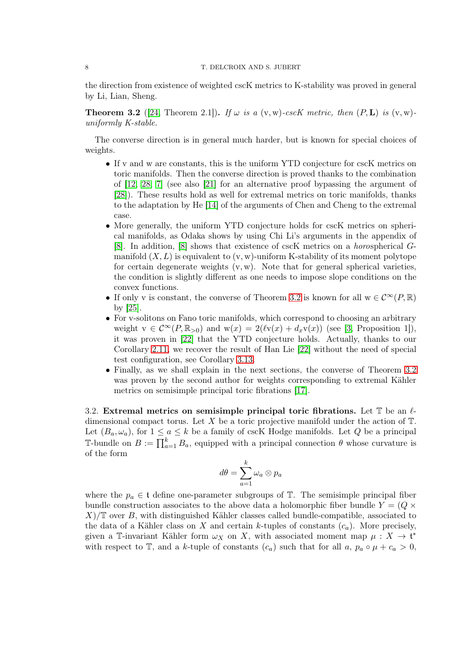#### 8 T. DELCROIX AND S. JUBERT

the direction from existence of weighted cscK metrics to K-stability was proved in general by Li, Lian, Sheng.

**Theorem 3.2** ([24, Theorem 2.1]). If  $\omega$  is a  $(v, w)$ -cscK metric, then  $(P, L)$  is  $(v, w)$ uniformly K-stable.

The converse direction is in general much harder, but is known for special choices of weights.

- If v and w are constants, this is the uniform YTD conjecture for cscK metrics on toric manifolds. Then the converse direction is proved thanks to the combination of [12, 28, 7] (see also [21] for an alternative proof bypassing the argument of [28]). These results hold as well for extremal metrics on toric manifolds, thanks to the adaptation by He [14] of the arguments of Chen and Cheng to the extremal case.
- More generally, the uniform YTD conjecture holds for cscK metrics on spherical manifolds, as Odaka shows by using Chi Li's arguments in the appendix of [8]. In addition, [8] shows that existence of cscK metrics on a horospherical Gmanifold  $(X, L)$  is equivalent to  $(v, w)$ -uniform K-stability of its moment polytope for certain degenerate weights  $(v, w)$ . Note that for general spherical varieties, the condition is slightly different as one needs to impose slope conditions on the convex functions.
- If only v is constant, the converse of Theorem 3.2 is known for all  $w \in C^{\infty}(P, \mathbb{R})$ by [25].
- For v-solitons on Fano toric manifolds, which correspond to choosing an arbitrary weight  $v \in C^{\infty}(P,\mathbb{R}_{>0})$  and  $w(x) = 2(\ell v(x) + d_xv(x))$  (see [3, Proposition 1]), it was proven in [22] that the YTD conjecture holds. Actually, thanks to our Corollary 2.11, we recover the result of Han Lie [22] without the need of special test configuration, see Corollary 3.13.
- Finally, as we shall explain in the next sections, the converse of Theorem 3.2 was proven by the second author for weights corresponding to extremal Kähler metrics on semisimple principal toric fibrations [17].

3.2. Extremal metrics on semisimple principal toric fibrations. Let  $\mathbb T$  be an  $\ell$ dimensional compact torus. Let X be a toric projective manifold under the action of  $\mathbb{T}$ . Let  $(B_a, \omega_a)$ , for  $1 \le a \le k$  be a family of cscK Hodge manifolds. Let Q be a principal T-bundle on  $B := \prod_{a=1}^{k} B_a$ , equipped with a principal connection  $\theta$  whose curvature is of the form

$$
d\theta = \sum_{a=1}^k \omega_a \otimes p_a
$$

where the  $p_a \in \mathfrak{t}$  define one-parameter subgroups of  $\mathbb{T}$ . The semisimple principal fiber bundle construction associates to the above data a holomorphic fiber bundle  $Y = (Q \times$  $X/\mathbb{T}$  over B, with distinguished Kähler classes called bundle-compatible, associated to the data of a Kähler class on X and certain k-tuples of constants  $(c_a)$ . More precisely, given a T-invariant Kähler form  $\omega_X$  on X, with associated moment map  $\mu: X \to \mathfrak{t}^*$ with respect to T, and a k-tuple of constants  $(c_a)$  such that for all  $a, p_a \circ \mu + c_a > 0$ ,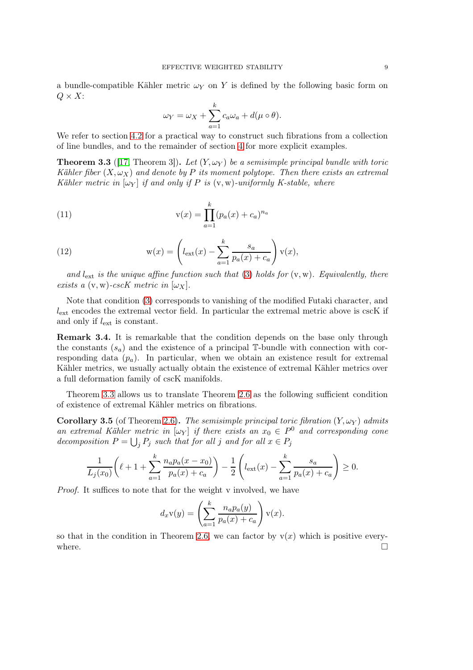a bundle-compatible Kähler metric  $\omega_Y$  on Y is defined by the following basic form on  $Q \times X$ :

$$
\omega_Y = \omega_X + \sum_{a=1}^k c_a \omega_a + d(\mu \circ \theta).
$$

We refer to section 4.2 for a practical way to construct such fibrations from a collection of line bundles, and to the remainder of section 4 for more explicit examples.

**Theorem 3.3** ([17, Theorem 3]). Let  $(Y, \omega_Y)$  be a semisimple principal bundle with toric Kähler fiber  $(X, \omega_X)$  and denote by P its moment polytope. Then there exists an extremal Kähler metric in  $[\omega_Y]$  if and only if P is  $(v, w)$ -uniformly K-stable, where

(11) 
$$
v(x) = \prod_{a=1}^{k} (p_a(x) + c_a)^{n_a}
$$

(12) 
$$
\mathbf{w}(x) = \left(l_{\text{ext}}(x) - \sum_{a=1}^{k} \frac{s_a}{p_a(x) + c_a}\right) \mathbf{v}(x),
$$

and  $l_{\text{ext}}$  is the unique affine function such that (3) holds for  $(v, w)$ . Equivalently, there exists a  $(v, w)$ -cscK metric in  $[\omega_X]$ .

Note that condition (3) corresponds to vanishing of the modified Futaki character, and  $l_{\text{ext}}$  encodes the extremal vector field. In particular the extremal metric above is cscK if and only if  $l_{\text{ext}}$  is constant.

Remark 3.4. It is remarkable that the condition depends on the base only through the constants  $(s_a)$  and the existence of a principal T-bundle with connection with corresponding data  $(p_a)$ . In particular, when we obtain an existence result for extremal Kähler metrics, we usually actually obtain the existence of extremal Kähler metrics over a full deformation family of cscK manifolds.

Theorem 3.3 allows us to translate Theorem 2.6 as the following sufficient condition of existence of extremal Kähler metrics on fibrations.

Corollary 3.5 (of Theorem 2.6). The semisimple principal toric fibration  $(Y, \omega_Y)$  admits an extremal Kähler metric in  $[\omega_Y]$  if there exists an  $x_0 \in P^0$  and corresponding cone decomposition  $P = \bigcup_j P_j$  such that for all j and for all  $x \in P_j$ 

$$
\frac{1}{L_j(x_0)} \left( \ell + 1 + \sum_{a=1}^k \frac{n_a p_a(x - x_0)}{p_a(x) + c_a} \right) - \frac{1}{2} \left( l_{\text{ext}}(x) - \sum_{a=1}^k \frac{s_a}{p_a(x) + c_a} \right) \ge 0.
$$

Proof. It suffices to note that for the weight v involved, we have

$$
d_x \mathbf{v}(y) = \left(\sum_{a=1}^k \frac{n_a p_a(y)}{p_a(x) + c_a}\right) \mathbf{v}(x).
$$

so that in the condition in Theorem 2.6, we can factor by  $v(x)$  which is positive everywhere.  $\Box$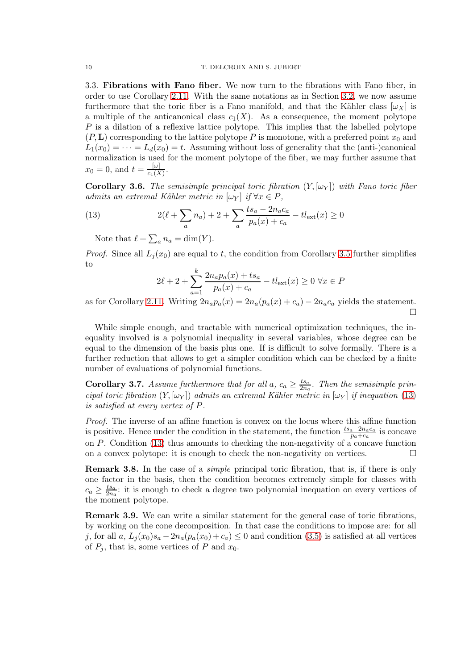3.3. Fibrations with Fano fiber. We now turn to the fibrations with Fano fiber, in order to use Corollary 2.11. With the same notations as in Section 3.2, we now assume furthermore that the toric fiber is a Fano manifold, and that the Kähler class  $[\omega_X]$  is a multiple of the anticanonical class  $c_1(X)$ . As a consequence, the moment polytope  $P$  is a dilation of a reflexive lattice polytope. This implies that the labelled polytope  $(P, L)$  corresponding to the lattice polytope P is monotone, with a preferred point  $x_0$  and  $L_1(x_0) = \cdots = L_d(x_0) = t$ . Assuming without loss of generality that the (anti-)canonical normalization is used for the moment polytope of the fiber, we may further assume that  $x_0 = 0$ , and  $t = \frac{[\omega]}{c_1(X)}$  $\frac{[\omega]}{c_1(X)}$ .

**Corollary 3.6.** The semisimple principal toric fibration  $(Y, [\omega_Y])$  with Fano toric fiber admits an extremal Kähler metric in  $[\omega_Y]$  if  $\forall x \in P$ ,

(13) 
$$
2(\ell + \sum_{a} n_a) + 2 + \sum_{a} \frac{ts_a - 2n_a c_a}{p_a(x) + c_a} - tl_{ext}(x) \ge 0
$$

Note that  $\ell + \sum_a n_a = \dim(Y)$ .

*Proof.* Since all  $L_i(x_0)$  are equal to t, the condition from Corollary 3.5 further simplifies to

$$
2\ell + 2 + \sum_{a=1}^{k} \frac{2n_a p_a(x) + t s_a}{p_a(x) + c_a} - t l_{\text{ext}}(x) \ge 0 \ \forall x \in P
$$

as for Corollary 2.11. Writing  $2n_a p_a(x) = 2n_a (p_a(x) + c_a) - 2n_a c_a$  yields the statement. П

While simple enough, and tractable with numerical optimization techniques, the inequality involved is a polynomial inequality in several variables, whose degree can be equal to the dimension of the basis plus one. If is difficult to solve formally. There is a further reduction that allows to get a simpler condition which can be checked by a finite number of evaluations of polynomial functions.

**Corollary 3.7.** Assume furthermore that for all  $a, c_a \geq \frac{ts_a}{2ns_a}$  $rac{ts_a}{2n_a}$ . Then the semisimple principal toric fibration  $(Y, [\omega_Y])$  admits an extremal Kähler metric in  $[\omega_Y]$  if inequation (13) is satisfied at every vertex of P.

Proof. The inverse of an affine function is convex on the locus where this affine function is positive. Hence under the condition in the statement, the function  $\frac{ts_a - 2n_a c_a}{p_a + c_a}$  is concave on P. Condition (13) thus amounts to checking the non-negativity of a concave function on a convex polytope: it is enough to check the non-negativity on vertices.  $\Box$ 

**Remark 3.8.** In the case of a *simple* principal toric fibration, that is, if there is only one factor in the basis, then the condition becomes extremely simple for classes with  $c_a \geq \frac{ts_a}{2n_a}$  $\frac{ts_a}{2n_a}$ : it is enough to check a degree two polynomial inequation on every vertices of the moment polytope.

Remark 3.9. We can write a similar statement for the general case of toric fibrations, by working on the cone decomposition. In that case the conditions to impose are: for all j, for all  $a, L_i(x_0)s_a - 2n_a(p_a(x_0) + c_a) \leq 0$  and condition (3.5) is satisfied at all vertices of  $P_j$ , that is, some vertices of P and  $x_0$ .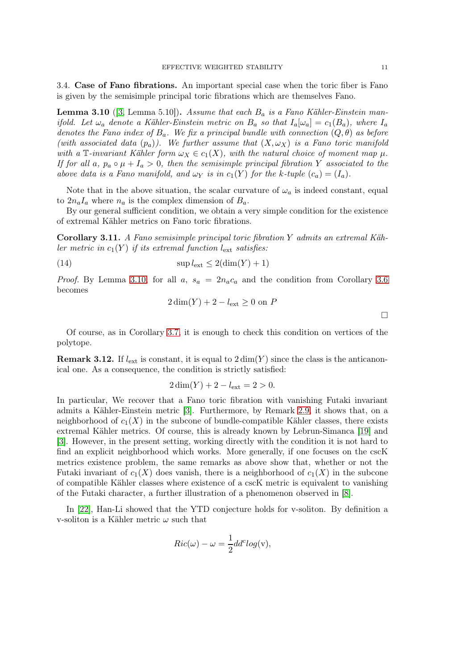3.4. Case of Fano fibrations. An important special case when the toric fiber is Fano is given by the semisimple principal toric fibrations which are themselves Fano.

**Lemma 3.10** ([3, Lemma 5.10]). Assume that each  $B_a$  is a Fano Kähler-Einstein manifold. Let  $\omega_a$  denote a Kähler-Einstein metric on  $B_a$  so that  $I_a[\omega_a] = c_1(B_a)$ , where  $I_a$ denotes the Fano index of  $B_a$ . We fix a principal bundle with connection  $(Q, \theta)$  as before (with associated data  $(p_a)$ ). We further assume that  $(X, \omega_X)$  is a Fano toric manifold with a T-invariant Kähler form  $\omega_X \in c_1(X)$ , with the natural choice of moment map  $\mu$ . If for all a,  $p_a \circ \mu + I_a > 0$ , then the semisimple principal fibration Y associated to the above data is a Fano manifold, and  $\omega_Y$  is in  $c_1(Y)$  for the k-tuple  $(c_a) = (I_a)$ .

Note that in the above situation, the scalar curvature of  $\omega_a$  is indeed constant, equal to  $2n_aI_a$  where  $n_a$  is the complex dimension of  $B_a$ .

By our general sufficient condition, we obtain a very simple condition for the existence of extremal Kähler metrics on Fano toric fibrations.

Corollary 3.11. A Fano semisimple principal toric fibration Y admits an extremal Kähler metric in  $c_1(Y)$  if its extremal function  $l_{\text{ext}}$  satisfies:

(14) 
$$
\sup l_{\text{ext}} \leq 2(\dim(Y) + 1)
$$

*Proof.* By Lemma 3.10, for all a,  $s_a = 2n_a c_a$  and the condition from Corollary 3.6 becomes

$$
2\dim(Y) + 2 - l_{\text{ext}} \ge 0 \text{ on } P
$$

 $\Box$ 

Of course, as in Corollary 3.7, it is enough to check this condition on vertices of the polytope.

**Remark 3.12.** If  $l_{\text{ext}}$  is constant, it is equal to  $2 \dim(Y)$  since the class is the anticanonical one. As a consequence, the condition is strictly satisfied:

$$
2\dim(Y) + 2 - l_{\text{ext}} = 2 > 0.
$$

In particular, We recover that a Fano toric fibration with vanishing Futaki invariant admits a Kähler-Einstein metric [3]. Furthermore, by Remark 2.9, it shows that, on a neighborhood of  $c_1(X)$  in the subcone of bundle-compatible Kähler classes, there exists extremal Kähler metrics. Of course, this is already known by Lebrun-Simanca [19] and [3]. However, in the present setting, working directly with the condition it is not hard to find an explicit neighborhood which works. More generally, if one focuses on the cscK metrics existence problem, the same remarks as above show that, whether or not the Futaki invariant of  $c_1(X)$  does vanish, there is a neighborhood of  $c_1(X)$  in the subcone of compatible Kähler classes where existence of a cscK metric is equivalent to vanishing of the Futaki character, a further illustration of a phenomenon observed in [8].

In [22], Han-Li showed that the YTD conjecture holds for v-soliton. By definition a v-soliton is a Kähler metric  $\omega$  such that

$$
Ric(\omega) - \omega = \frac{1}{2}dd^c \log(v),
$$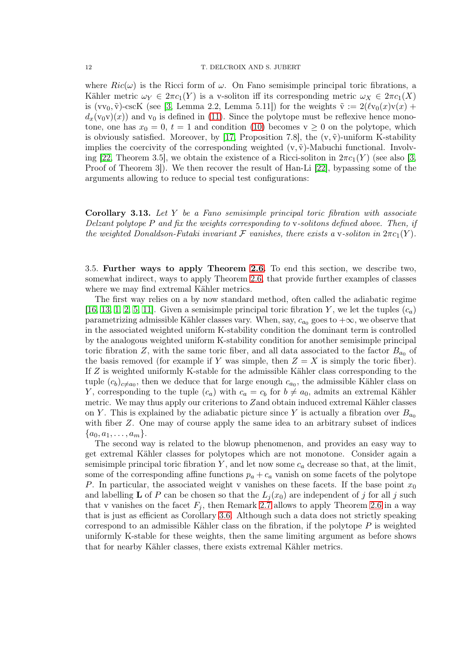where  $Ric(\omega)$  is the Ricci form of  $\omega$ . On Fano semisimple principal toric fibrations, a Kähler metric  $\omega_Y \in 2\pi c_1(Y)$  is a v-soliton iff its corresponding metric  $\omega_X \in 2\pi c_1(X)$ is  $(vv_0, \tilde{v})$ -cscK (see [3, Lemma 2.2, Lemma 5.11]) for the weights  $\tilde{v} := 2(\ell v_0(x)v(x) +$  $d_x(v_0v)(x)$  and  $v_0$  is defined in (11). Since the polytope must be reflexive hence monotone, one has  $x_0 = 0$ ,  $t = 1$  and condition (10) becomes  $v \ge 0$  on the polytope, which is obviously satisfied. Moreover, by [17, Proposition 7.8], the  $(v, \tilde{v})$ -uniform K-stability implies the coercivity of the corresponding weighted  $(v, \tilde{v})$ -Mabuchi functional. Involving [22, Theorem 3.5], we obtain the existence of a Ricci-soliton in  $2\pi c_1(Y)$  (see also [3, Proof of Theorem 3]). We then recover the result of Han-Li [22], bypassing some of the arguments allowing to reduce to special test configurations:

**Corollary 3.13.** Let  $Y$  be a Fano semisimple principal toric fibration with associate Delzant polytope  $P$  and fix the weights corresponding to v-solitons defined above. Then, if the weighted Donaldson-Futaki invariant F vanishes, there exists a v-soliton in  $2\pi c_1(Y)$ .

3.5. Further ways to apply Theorem 2.6. To end this section, we describe two, somewhat indirect, ways to apply Theorem 2.6, that provide further examples of classes where we may find extremal Kähler metrics.

The first way relies on a by now standard method, often called the adiabatic regime [16, 13, 1, 2, 5, 11]. Given a semisimple principal toric fibration Y, we let the tuples  $(c_a)$ parametrizing admissible Kähler classes vary. When, say,  $c_{a_0}$  goes to  $+\infty$ , we observe that in the associated weighted uniform K-stability condition the dominant term is controlled by the analogous weighted uniform K-stability condition for another semisimple principal toric fibration Z, with the same toric fiber, and all data associated to the factor  $B_{a_0}$  of the basis removed (for example if Y was simple, then  $Z = X$  is simply the toric fiber). If Z is weighted uniformly K-stable for the admissible Kähler class corresponding to the tuple  $(c_b)_{c \neq a_0}$ , then we deduce that for large enough  $c_{a_0}$ , the admissible Kähler class on Y, corresponding to the tuple  $(c_a)$  with  $c_a = c_b$  for  $b \neq a_0$ , admits an extremal Kähler metric. We may thus apply our criterions to Zand obtain induced extremal Kähler classes on Y. This is explained by the adiabatic picture since Y is actually a fibration over  $B_{a_0}$ with fiber Z. One may of course apply the same idea to an arbitrary subset of indices  $\{a_0, a_1, \ldots, a_m\}.$ 

The second way is related to the blowup phenomenon, and provides an easy way to get extremal Kähler classes for polytopes which are not monotone. Consider again a semisimple principal toric fibration  $Y$ , and let now some  $c_a$  decrease so that, at the limit, some of the corresponding affine functions  $p_a + c_a$  vanish on some facets of the polytope P. In particular, the associated weight v vanishes on these facets. If the base point  $x_0$ and labelling **L** of P can be chosen so that the  $L_i(x_0)$  are independent of j for all j such that v vanishes on the facet  $F_j$ , then Remark 2.7 allows to apply Theorem 2.6 in a way that is just as efficient as Corollary 3.6. Although such a data does not strictly speaking correspond to an admissible Kähler class on the fibration, if the polytope  $P$  is weighted uniformly K-stable for these weights, then the same limiting argument as before shows that for nearby Kähler classes, there exists extremal Kähler metrics.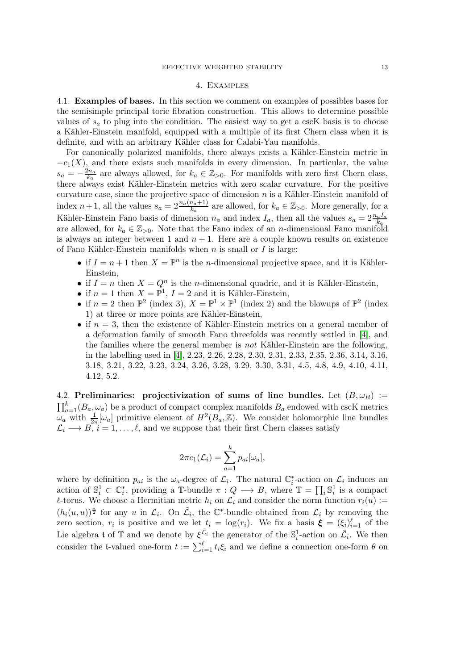### 4. Examples

4.1. Examples of bases. In this section we comment on examples of possibles bases for the semisimple principal toric fibration construction. This allows to determine possible values of  $s_a$  to plug into the condition. The easiest way to get a cscK basis is to choose a Kähler-Einstein manifold, equipped with a multiple of its first Chern class when it is definite, and with an arbitrary Kähler class for Calabi-Yau manifolds.

For canonically polarized manifolds, there always exists a Kähler-Einstein metric in  $-c_1(X)$ , and there exists such manifolds in every dimension. In particular, the value  $s_a = -\frac{2n_a}{k_a}$  $\frac{dn_a}{k_a}$  are always allowed, for  $k_a \in \mathbb{Z}_{>0}$ . For manifolds with zero first Chern class, there always exist Kähler-Einstein metrics with zero scalar curvature. For the positive curvature case, since the projective space of dimension  $n$  is a Kähler-Einstein manifold of index  $n+1$ , all the values  $s_a = 2\frac{n_a(n_a+1)}{k_a}$  are allowed, for  $k_a \in \mathbb{Z}_{>0}$ . More generally, for a Kähler-Einstein Fano basis of dimension  $n_a$  and index  $I_a$ , then all the values  $s_a = 2 \frac{n_a I_a}{k_a}$ are allowed, for  $k_a \in \mathbb{Z}_{>0}$ . Note that the Fano index of an *n*-dimensional Fano manifold is always an integer between 1 and  $n + 1$ . Here are a couple known results on existence of Fano Kähler-Einstein manifolds when  $n$  is small or  $I$  is large:

- if  $I = n + 1$  then  $X = \mathbb{P}^n$  is the *n*-dimensional projective space, and it is Kähler-Einstein,
- if  $I = n$  then  $X = Q^n$  is the *n*-dimensional quadric, and it is Kähler-Einstein,
- if  $n = 1$  then  $X = \mathbb{P}^1$ ,  $I = 2$  and it is Kähler-Einstein,
- if  $n=2$  then  $\mathbb{P}^2$  (index 3),  $X=\mathbb{P}^1\times\mathbb{P}^1$  (index 2) and the blowups of  $\mathbb{P}^2$  (index 1) at three or more points are Kähler-Einstein,
- if  $n = 3$ , then the existence of Kähler-Einstein metrics on a general member of a deformation family of smooth Fano threefolds was recently settled in [4], and the families where the general member is not Kähler-Einstein are the following, in the labelling used in [4], 2.23, 2.26, 2.28, 2.30, 2.31, 2.33, 2.35, 2.36, 3.14, 3.16, 3.18, 3.21, 3.22, 3.23, 3.24, 3.26, 3.28, 3.29, 3.30, 3.31, 4.5, 4.8, 4.9, 4.10, 4.11, 4.12, 5.2.

4.2. Preliminaries: projectivization of sums of line bundles. Let  $(B, \omega_B)$  :=  $\prod_{a=1}^{k} (B_a, \omega_a)$  be a product of compact complex manifolds  $B_a$  endowed with cscK metrics  $\omega_a$  with  $\frac{1}{2\pi}[\omega_a]$  primitive element of  $H^2(B_a, \mathbb{Z})$ . We consider holomorphic line bundles  $\mathcal{L}_i \longrightarrow B, i = 1, \ldots, \ell$ , and we suppose that their first Chern classes satisfy

$$
2\pi c_1(\mathcal{L}_i) = \sum_{a=1}^k p_{ai}[\omega_a],
$$

where by definition  $p_{ai}$  is the  $\omega_a$ -degree of  $\mathcal{L}_i$ . The natural  $\mathbb{C}_i^*$ -action on  $\mathcal{L}_i$  induces an action of  $\mathbb{S}_i^1 \subset \mathbb{C}_i^*$ , providing a  $\mathbb{T}$ -bundle  $\pi: Q \longrightarrow B$ , where  $\mathbb{T} = \prod_i \mathbb{S}_i^1$  is a compact  $\ell$ -torus. We choose a Hermitian metric  $h_i$  on  $\mathcal{L}_i$  and consider the norm function  $r_i(u) :=$  $(h_i(u, u))^{\frac{1}{2}}$  for any u in  $\mathcal{L}_i$ . On  $\tilde{\mathcal{L}}_i$ , the C\*-bundle obtained from  $\mathcal{L}_i$  by removing the zero section,  $r_i$  is positive and we let  $t_i = \log(r_i)$ . We fix a basis  $\boldsymbol{\xi} = (\xi_i)_{i=1}^{\ell}$  of the Lie algebra t of  $\mathbb T$  and we denote by  $\xi \tilde{\zeta}_i$  the generator of the  $\mathbb S_i^1$ -action on  $\tilde{\mathcal{L}}_i$ . We then consider the t-valued one-form  $t := \sum_{i=1}^{\ell} t_i \xi_i$  and we define a connection one-form  $\theta$  on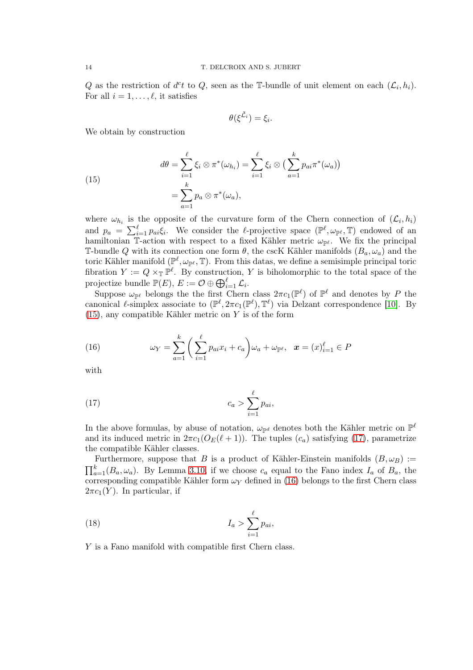Q as the restriction of  $d^c t$  to Q, seen as the T-bundle of unit element on each  $(\mathcal{L}_i, h_i)$ . For all  $i = 1, \ldots, \ell$ , it satisfies

$$
\theta(\xi^{\tilde{\mathcal{L}}_i})=\xi_i.
$$

We obtain by construction

(15)  

$$
d\theta = \sum_{i=1}^{\ell} \xi_i \otimes \pi^*(\omega_{h_i}) = \sum_{i=1}^{\ell} \xi_i \otimes \left(\sum_{a=1}^{k} p_{ai} \pi^*(\omega_a)\right)
$$

$$
= \sum_{a=1}^{k} p_a \otimes \pi^*(\omega_a),
$$

where  $\omega_{h_i}$  is the opposite of the curvature form of the Chern connection of  $(\mathcal{L}_i, h_i)$ and  $p_a = \sum_{i=1}^{\ell} p_{ai} \xi_i$ . We consider the  $\ell$ -projective space  $(\mathbb{P}^{\ell}, \omega_{\mathbb{P}^{\ell}}, \mathbb{T})$  endowed of an hamiltonian T-action with respect to a fixed Kähler metric  $\omega_{\mathbb{P}^{\ell}}$ . We fix the principal T-bundle Q with its connection one form  $\theta$ , the cscK Kähler manifolds  $(B_a, \omega_a)$  and the toric Kähler manifold ( $\mathbb{P}^{\ell}, \omega_{\mathbb{P}^{\ell}}, \mathbb{T}$ ). From this datas, we define a semisimple principal toric fibration  $Y := Q \times_{\mathbb{T}} \mathbb{P}^{\ell}$ . By construction, Y is biholomorphic to the total space of the projectize bundle  $\mathbb{P}(E)$ ,  $E := \mathcal{O} \oplus \bigoplus_{i=1}^{\ell} \mathcal{L}_i$ .

Suppose  $\omega_{\mathbb{P}^{\ell}}$  belongs the the first Chern class  $2\pi c_1(\mathbb{P}^{\ell})$  of  $\mathbb{P}^{\ell}$  and denotes by P the canonical  $\ell$ -simplex associate to  $(\mathbb{P}^{\ell}, 2\pi c_1(\mathbb{P}^{\ell}), \mathbb{T}^{\ell})$  via Delzant correspondence [10]. By  $(15)$ , any compatible Kähler metric on Y is of the form

(16) 
$$
\omega_Y = \sum_{a=1}^k \left( \sum_{i=1}^\ell p_{ai} x_i + c_a \right) \omega_a + \omega_{\mathbb{P}^\ell}, \quad x = (x)_{i=1}^\ell \in P
$$

with

$$
(17) \t\t\t c_a > \sum_{i=1}^{\ell} p_{ai},
$$

In the above formulas, by abuse of notation,  $\omega_{\mathbb{P}^d}$  denotes both the Kähler metric on  $\mathbb{P}^{\ell}$ and its induced metric in  $2\pi c_1(O_E(\ell+1))$ . The tuples  $(c_a)$  satisfying (17), parametrize the compatible Kähler classes.

Furthermore, suppose that B is a product of Kähler-Einstein manifolds  $(B, \omega_B) :=$  $\prod_{a=1}^{k} (B_a, \omega_a)$ . By Lemma 3.10, if we choose  $c_a$  equal to the Fano index  $I_a$  of  $B_a$ , the corresponding compatible Kähler form  $\omega_Y$  defined in (16) belongs to the first Chern class  $2\pi c_1(Y)$ . In particular, if

$$
(18) \t\t I_a > \sum_{i=1}^{\ell} p_{ai},
$$

Y is a Fano manifold with compatible first Chern class.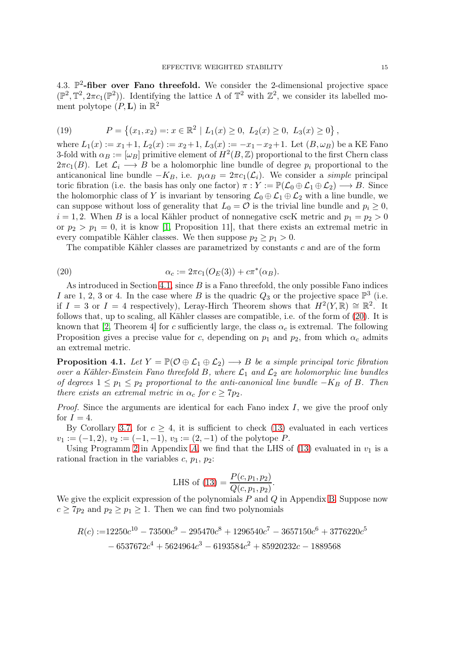4.3.  $\mathbb{P}^2$ -fiber over Fano threefold. We consider the 2-dimensional projective space  $(\mathbb{P}^2, \mathbb{T}^2, 2\pi c_1(\mathbb{P}^2))$ . Identifying the lattice  $\Lambda$  of  $\mathbb{T}^2$  with  $\mathbb{Z}^2$ , we consider its labelled moment polytope  $(P, L)$  in  $\mathbb{R}^2$ 

(19) 
$$
P = \{(x_1, x_2) =: x \in \mathbb{R}^2 \mid L_1(x) \ge 0, L_2(x) \ge 0, L_3(x) \ge 0\},\
$$

where  $L_1(x) := x_1 + 1$ ,  $L_2(x) := x_2 + 1$ ,  $L_3(x) := -x_1 - x_2 + 1$ . Let  $(B, \omega_B)$  be a KE Fano 3-fold with  $\alpha_B := [\omega_B]$  primitive element of  $H^2(B, \mathbb{Z})$  proportional to the first Chern class  $2\pi c_1(B)$ . Let  $\mathcal{L}_i \longrightarrow B$  be a holomorphic line bundle of degree  $p_i$  proportional to the anticanonical line bundle  $-K_B$ , i.e.  $p_i \alpha_B = 2\pi c_1(\mathcal{L}_i)$ . We consider a *simple* principal toric fibration (i.e. the basis has only one factor)  $\pi: Y := \mathbb{P}(\mathcal{L}_0 \oplus \mathcal{L}_1 \oplus \mathcal{L}_2) \longrightarrow B$ . Since the holomorphic class of Y is invariant by tensoring  $\mathcal{L}_0 \oplus \mathcal{L}_1 \oplus \mathcal{L}_2$  with a line bundle, we can suppose without loss of generality that  $L_0 = \mathcal{O}$  is the trivial line bundle and  $p_i \geq 0$ ,  $i = 1, 2$ . When B is a local Kähler product of nonnegative cscK metric and  $p_1 = p_2 > 0$ or  $p_2 > p_1 = 0$ , it is know [1, Proposition 11], that there exists an extremal metric in every compatible Kähler classes. We then suppose  $p_2 \geq p_1 > 0$ .

The compatible Kähler classes are parametrized by constants c and are of the form

(20) 
$$
\alpha_c := 2\pi c_1(O_E(3)) + c\pi^*(\alpha_B).
$$

As introduced in Section 4.1, since  $B$  is a Fano threefold, the only possible Fano indices I are 1, 2, 3 or 4. In the case where B is the quadric  $Q_3$  or the projective space  $\mathbb{P}^3$  (i.e. if  $I = 3$  or  $I = 4$  respectively), Leray-Hirch Theorem shows that  $H^2(Y, \mathbb{R}) \cong \mathbb{R}^2$ . It follows that, up to scaling, all Kähler classes are compatible, i.e. of the form of (20). It is known that [2, Theorem 4] for c sufficiently large, the class  $\alpha_c$  is extremal. The following Proposition gives a precise value for c, depending on  $p_1$  and  $p_2$ , from which  $\alpha_c$  admits an extremal metric.

**Proposition 4.1.** Let  $Y = \mathbb{P}(\mathcal{O} \oplus \mathcal{L}_1 \oplus \mathcal{L}_2) \longrightarrow B$  be a simple principal toric fibration over a Kähler-Einstein Fano threefold B, where  $\mathcal{L}_1$  and  $\mathcal{L}_2$  are holomorphic line bundles of degrees  $1 \leq p_1 \leq p_2$  proportional to the anti-canonical line bundle  $-K_B$  of B. Then there exists an extremal metric in  $\alpha_c$  for  $c \geq 7p_2$ .

*Proof.* Since the arguments are identical for each Fano index  $I$ , we give the proof only for  $I = 4$ .

By Corollary 3.7, for  $c \geq 4$ , it is sufficient to check (13) evaluated in each vertices  $v_1 := (-1, 2), v_2 := (-1, -1), v_3 := (2, -1)$  of the polytope P.

Using Programm 2 in Appendix A, we find that the LHS of  $(13)$  evaluated in  $v_1$  is a rational fraction in the variables  $c, p_1, p_2$ :

LHS of (13) = 
$$
\frac{P(c, p_1, p_2)}{Q(c, p_1, p_2)}.
$$

We give the explicit expression of the polynomials  $P$  and  $Q$  in Appendix B. Suppose now  $c \geq 7p_2$  and  $p_2 \geq p_1 \geq 1$ . Then we can find two polynomials

$$
R(c) := 12250c^{10} - 73500c^9 - 295470c^8 + 1296540c^7 - 3657150c^6 + 3776220c^5 - 6537672c^4 + 5624964c^3 - 6193584c^2 + 85920232c - 1889568
$$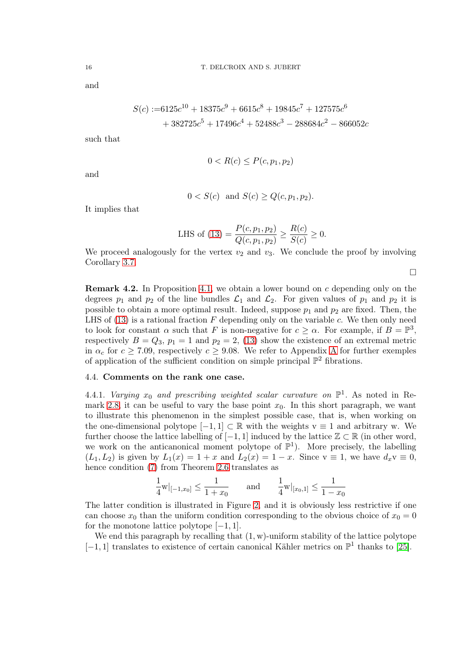and

$$
S(c) := 6125c^{10} + 18375c^9 + 6615c^8 + 19845c^7 + 127575c^6
$$
  
+ 382725c<sup>5</sup> + 17496c<sup>4</sup> + 52488c<sup>3</sup> - 288684c<sup>2</sup> - 866052c

such that

$$
0 < R(c) \le P(c, p_1, p_2)
$$

and

$$
0 < S(c)
$$
 and  $S(c) \ge Q(c, p_1, p_2)$ .

It implies that

LHS of (13) = 
$$
\frac{P(c, p_1, p_2)}{Q(c, p_1, p_2)} \ge \frac{R(c)}{S(c)} \ge 0.
$$

We proceed analogously for the vertex  $v_2$  and  $v_3$ . We conclude the proof by involving Corollary 3.7.

 $\Box$ 

**Remark 4.2.** In Proposition 4.1, we obtain a lower bound on c depending only on the degrees  $p_1$  and  $p_2$  of the line bundles  $\mathcal{L}_1$  and  $\mathcal{L}_2$ . For given values of  $p_1$  and  $p_2$  it is possible to obtain a more optimal result. Indeed, suppose  $p_1$  and  $p_2$  are fixed. Then, the LHS of  $(13)$  is a rational fraction F depending only on the variable c. We then only need to look for constant  $\alpha$  such that F is non-negative for  $c \geq \alpha$ . For example, if  $B = \mathbb{P}^3$ , respectively  $B = Q_3$ ,  $p_1 = 1$  and  $p_2 = 2$ , (13) show the existence of an extremal metric in  $\alpha_c$  for  $c \ge 7.09$ , respectively  $c \ge 9.08$ . We refer to Appendix A for further exemples of application of the sufficient condition on simple principal  $\mathbb{P}^2$  fibrations.

#### 4.4. Comments on the rank one case.

4.4.1. Varying  $x_0$  and prescribing weighted scalar curvature on  $\mathbb{P}^1$ . As noted in Remark 2.8, it can be useful to vary the base point  $x_0$ . In this short paragraph, we want to illustrate this phenomenon in the simplest possible case, that is, when working on the one-dimensional polytope  $[-1, 1] \subset \mathbb{R}$  with the weights  $v \equiv 1$  and arbitrary w. We further choose the lattice labelling of  $[-1, 1]$  induced by the lattice  $\mathbb{Z} \subset \mathbb{R}$  (in other word, we work on the anticanonical moment polytope of  $\mathbb{P}^1$ ). More precisely, the labelling  $(L_1, L_2)$  is given by  $L_1(x) = 1 + x$  and  $L_2(x) = 1 - x$ . Since  $y \equiv 1$ , we have  $d_x y \equiv 0$ , hence condition (7) from Theorem 2.6 translates as

$$
\frac{1}{4}\mathbf{w}|_{[-1,x_0]}\leq \frac{1}{1+x_0} \qquad \text{and} \qquad \frac{1}{4}\mathbf{w}|_{[x_0,1]}\leq \frac{1}{1-x_0}
$$

The latter condition is illustrated in Figure 2, and it is obviously less restrictive if one can choose  $x_0$  than the uniform condition corresponding to the obvious choice of  $x_0 = 0$ for the monotone lattice polytope  $[-1, 1]$ .

We end this paragraph by recalling that  $(1, w)$ -uniform stability of the lattice polytope  $[-1, 1]$  translates to existence of certain canonical Kähler metrics on  $\mathbb{P}^1$  thanks to [25].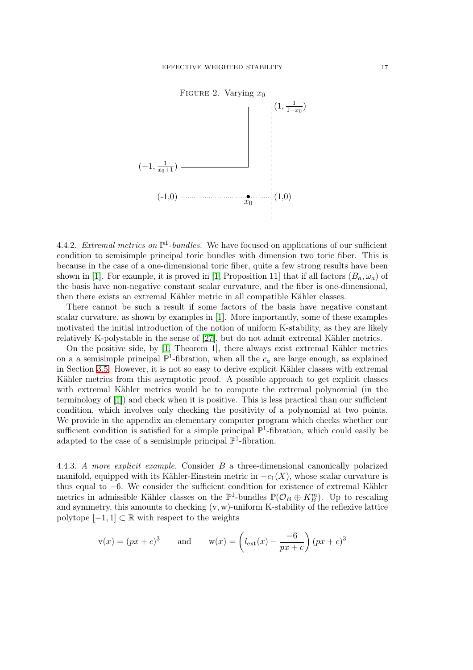

4.4.2. Extremal metrics on  $\mathbb{P}^1$ -bundles. We have focused on applications of our sufficient condition to semisimple principal toric bundles with dimension two toric fiber. This is because in the case of a one-dimensional toric fiber, quite a few strong results have been shown in [1]. For example, it is proved in [1, Proposition 11] that if all factors  $(B_a, \omega_a)$  of the basis have non-negative constant scalar curvature, and the fiber is one-dimensional, then there exists an extremal Kähler metric in all compatible Kähler classes.

There cannot be such a result if some factors of the basis have negative constant scalar curvature, as shown by examples in [1]. More importantly, some of these examples motivated the initial introduction of the notion of uniform K-stability, as they are likely relatively K-polystable in the sense of [27], but do not admit extremal Kähler metrics.

On the positive side, by [1, Theorem 1], there always exist extremal Kähler metrics on a a semisimple principal  $\mathbb{P}^1$ -fibration, when all the  $c_a$  are large enough, as explained in Section 3.5. However, it is not so easy to derive explicit Kähler classes with extremal Kähler metrics from this asymptotic proof. A possible approach to get explicit classes with extremal Kähler metrics would be to compute the extremal polynomial (in the terminology of [1]) and check when it is positive. This is less practical than our sufficient condition, which involves only checking the positivity of a polynomial at two points. We provide in the appendix an elementary computer program which checks whether our sufficient condition is satisfied for a simple principal  $\mathbb{P}^1$ -fibration, which could easily be adapted to the case of a semisimple principal  $\mathbb{P}^1$ -fibration.

4.4.3. A more explicit example. Consider B a three-dimensional canonically polarized manifold, equipped with its Kähler-Einstein metric in  $-c_1(X)$ , whose scalar curvature is thus equal to −6. We consider the sufficient condition for existence of extremal Kähler metrics in admissible Kähler classes on the  $\mathbb{P}^1$ -bundles  $\mathbb{P}(\mathcal{O}_B \oplus K_B^m)$ . Up to rescaling and symmetry, this amounts to checking (v, w)-uniform K-stability of the reflexive lattice polytope  $[-1, 1] \subset \mathbb{R}$  with respect to the weights

$$
v(x) = (px + c)^3
$$
 and  $w(x) = \left(l_{ext}(x) - \frac{-6}{px + c}\right)(px + c)^3$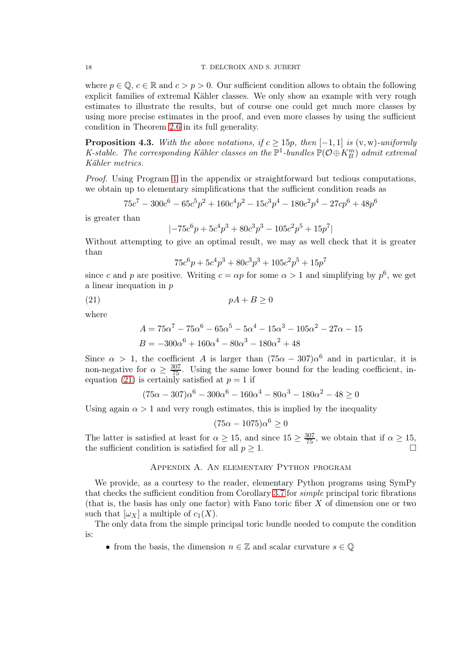where  $p \in \mathbb{Q}$ ,  $c \in \mathbb{R}$  and  $c > p > 0$ . Our sufficient condition allows to obtain the following explicit families of extremal Kähler classes. We only show an example with very rough estimates to illustrate the results, but of course one could get much more classes by using more precise estimates in the proof, and even more classes by using the sufficient condition in Theorem 2.6 in its full generality.

**Proposition 4.3.** With the above notations, if  $c \ge 15p$ , then  $[-1, 1]$  is  $(v, w)$ -uniformly K-stable. The corresponding Kähler classes on the  $\mathbb{P}^1$ -bundles  $\mathbb{P}(\mathcal{O}\oplus K_B^m)$  admit extremal Kähler metrics.

Proof. Using Program 1 in the appendix or straightforward but tedious computations, we obtain up to elementary simplifications that the sufficient condition reads as

$$
75c^7 - 300c^6 - 65c^5p^2 + 160c^4p^2 - 15c^3p^4 - 180c^2p^4 - 27cp^6 + 48p^6
$$

is greater than

$$
\left|-75c^6p+5c^4p^3+80c^3p^3-105c^2p^5+15p^7\right|
$$

Without attempting to give an optimal result, we may as well check that it is greater than

$$
75c^6p + 5c^4p^3 + 80c^3p^3 + 105c^2p^5 + 15p^7
$$

since c and p are positive. Writing  $c = \alpha p$  for some  $\alpha > 1$  and simplifying by  $p^6$ , we get a linear inequation in p

$$
(21) \t\t\t pA + B \ge 0
$$

where

$$
A = 75\alpha^7 - 75\alpha^6 - 65\alpha^5 - 5\alpha^4 - 15\alpha^3 - 105\alpha^2 - 27\alpha - 15
$$
  

$$
B = -300\alpha^6 + 160\alpha^4 - 80\alpha^3 - 180\alpha^2 + 48
$$

Since  $\alpha > 1$ , the coefficient A is larger than  $(75\alpha - 307)\alpha^6$  and in particular, it is non-negative for  $\alpha \geq \frac{307}{75}$ . Using the same lower bound for the leading coefficient, inequation (21) is certainly satisfied at  $p = 1$  if

$$
(75\alpha - 307)\alpha^{6} - 300\alpha^{6} - 160\alpha^{4} - 80\alpha^{3} - 180\alpha^{2} - 48 \ge 0
$$

Using again  $\alpha > 1$  and very rough estimates, this is implied by the inequality

$$
(75\alpha - 1075)\alpha^6 \ge 0
$$

The latter is satisfied at least for  $\alpha \ge 15$ , and since  $15 \ge \frac{307}{75}$ , we obtain that if  $\alpha \ge 15$ , the sufficient condition is satisfied for all  $p \geq 1$ .

# Appendix A. An elementary Python program

We provide, as a courtesy to the reader, elementary Python programs using SymPy that checks the sufficient condition from Corollary 3.7 for simple principal toric fibrations (that is, the basis has only one factor) with Fano toric fiber  $X$  of dimension one or two such that  $[\omega_X]$  a multiple of  $c_1(X)$ .

The only data from the simple principal toric bundle needed to compute the condition is:

• from the basis, the dimension  $n \in \mathbb{Z}$  and scalar curvature  $s \in \mathbb{Q}$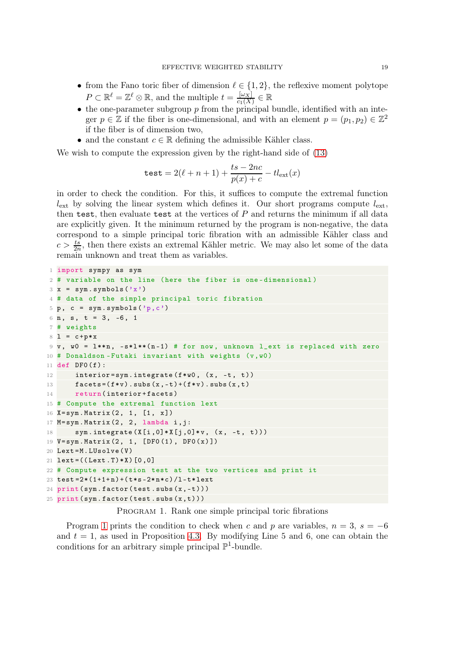- from the Fano toric fiber of dimension  $\ell \in \{1,2\}$ , the reflexive moment polytope  $P \subset \mathbb{R}^{\ell} = \mathbb{Z}^{\ell} \otimes \mathbb{R}$ , and the multiple  $t = \frac{[\omega_X]}{c_1(X)}$  $\frac{|\omega_X|}{c_1(X)} \in \mathbb{R}$
- the one-parameter subgroup  $p$  from the principal bundle, identified with an integer  $p \in \mathbb{Z}$  if the fiber is one-dimensional, and with an element  $p = (p_1, p_2) \in \mathbb{Z}^2$ if the fiber is of dimension two,
- and the constant  $c \in \mathbb{R}$  defining the admissible Kähler class.

We wish to compute the expression given by the right-hand side of (13)

$$
\texttt{test} = 2(\ell+n+1) + \frac{ts - 2nc}{p(x) + c} - tl_{\text{ext}}(x)
$$

in order to check the condition. For this, it suffices to compute the extremal function  $l_{\text{ext}}$  by solving the linear system which defines it. Our short programs compute  $l_{\text{ext}}$ , then test, then evaluate test at the vertices of P and returns the minimum if all data are explicitly given. It the minimum returned by the program is non-negative, the data correspond to a simple principal toric fibration with an admissible Kähler class and  $c > \frac{ts}{2n}$ , then there exists an extremal Kähler metric. We may also let some of the data remain unknown and treat them as variables.

```
1 import sympy as sym
2 # variable on the line ( here the fiber is one - dimensional )
3 \times = \text{sym.symbols} ('x')
4 # data of the simple principal toric fibration
5 p, c = sym.symbols('p, c')6 n, s, t = 3, -6, 1
7 # weights
8 \t1 = c + p * x9 \text{ v}, \text{w0} = 1**n, -s*1**(n-1) # for now, unknown l_ext is replaced with zero
10 # Donaldson-Futaki invariant with weights (v, w0)11 def DF0 (f):
12 interior=sym.integrate (f*w0, (x, -t, t))13 facets=(f*v). subs (x, -t) + (f*v). subs (x, t)14 return (interior+facets)
15 # Compute the extremal function lext
16 X= sym. Matrix (2, 1, [1, x])
17 M= sym. Matrix (2, 2, lambda i, j:
18 sym.integrate (X[i, 0]*X[j, 0]*v, (x, -t, t)))19 V= sym . Matrix (2 , 1, [ DF0 (1) , DF0 (x) ])
20 Lext = M.LUsolve(V)21 \text{lext} = ((\text{Lext} . T) * X) [0, 0]22 # Compute expression test at the two vertices and print it
23 test = 2 * (1 + 1 + n) + (t * s - 2 * n * c) / 1 - t * 1 ext24 print(sym.factory(test.subs(x, -t)))25 print(sym.factory(test.subs(x,t)))
```
PROGRAM 1. Rank one simple principal toric fibrations

Program 1 prints the condition to check when c and p are variables,  $n = 3$ ,  $s = -6$ and  $t = 1$ , as used in Proposition 4.3. By modifying Line 5 and 6, one can obtain the conditions for an arbitrary simple principal  $\mathbb{P}^1$ -bundle.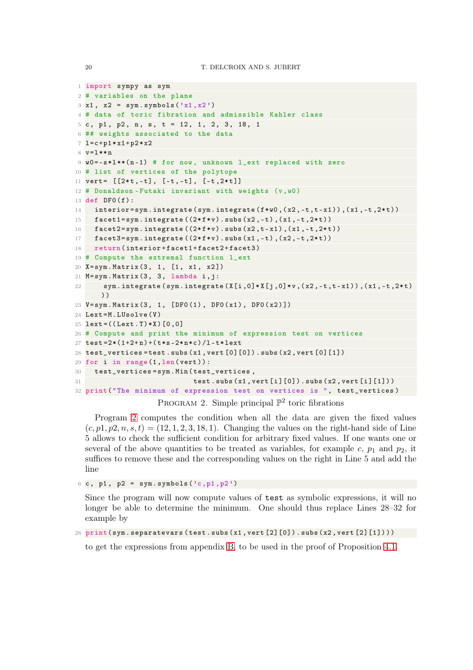```
1 import sympy as sym
2 # variables on the plane
3 \times 1, x2 = sym.symbols('x1, x2')4 # data of toric fibration and admissible Kahler class
5 c, p1, p2, n, s, t = 12, 1, 2, 3, 18, 1
6 ## weights associated to the data
7 l=c+p1*x1+p2*x28 v=l ** n
9 w0 = -s * 1 * * (n - 1) # for now, unknown <math>l</math> ext replaced with zero10 # list of vertices of the polytope
11 vert = [[2*t,-t], [-t,-t], [-t,2*t]]12 # Donaldson-Futaki invariant with weights (v, w0)13 def DF0 (f):
14 interior=sym.integrate (sym.integrate (f*w, (x2, -t, t-x1)), (x1, -t, 2*t))15 facet1 = sym.integrate ((2*f*v).subs (x2, -t), (x1, -t, 2*t))16 factor2 = sym.integrate ((2*f*v).subs(x2, t-x1), (x1, -t, 2*t))17 facet3 = sym.integrate ((2*f*v).subs(x1, -t), (x2, -t, 2*t))18 return(interior+facet1+facet2+facet3)
19 # Compute the extremal function l_ext
20 X= sym. Matrix (3, 1, [1, x1, x2])
21 M= sym. Matrix (3, 3, lambda i, j:
22 sym.integrate ( sym.integrate (X[i, 0]*X[j, 0]*v , (x2, -t, t-x1) ) , (x1, -t, 2*t)))
23 V= sym. Matrix (3, 1, [DF0(1), DF0(x1), DF0(x2)]24 Lext=M.LUsolve (V)
25 lext = ((Lext.T)*X) [0,0]26 # Compute and print the minimum of expression test on vertices
27 test = 2 * (1 + 2 + n) + (t * s - 2 * n * c) / 1 - t * 1 ext28 test_vertices=test.subs(x1, vert [0] [0]).subs(x2, vert [0] [1])
29 for i in range (1, len(vert)):
30 test_vertices = sym . Min ( test_vertices ,
31 test. subs (x1, vert[i][0]). subs (x2, vert[i][1]))32 print(" The minimum of expression test on vertices is ", test_vertices )
```
PROGRAM 2. Simple principal  $\mathbb{P}^2$  toric fibrations

Program 2 computes the condition when all the data are given the fixed values  $(c, p1, p2, n, s, t) = (12, 1, 2, 3, 18, 1)$ . Changing the values on the right-hand side of Line 5 allows to check the sufficient condition for arbitrary fixed values. If one wants one or several of the above quantities to be treated as variables, for example c,  $p_1$  and  $p_2$ , it suffices to remove these and the corresponding values on the right in Line 5 and add the line

 $6 c$ , p1, p2 = sym.symbols  $('c, p1, p2')$ 

Since the program will now compute values of test as symbolic expressions, it will no longer be able to determine the minimum. One should thus replace Lines 28–32 for example by

```
28 print(sym.separatevars(test.subs(x1,vert[2][0]).subs(x2,vert[2][1])))
```
to get the expressions from appendix B, to be used in the proof of Proposition 4.1.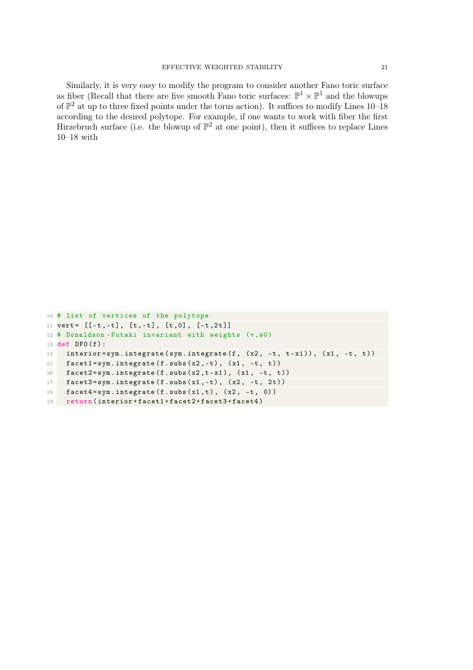Similarly, it is very easy to modify the program to consider another Fano toric surface as fiber (Recall that there are five smooth Fano toric surfaces:  $\mathbb{P}^1 \times \mathbb{P}^1$  and the blowups of  $\mathbb{P}^2$  at up to three fixed points under the torus action). It suffices to modify Lines 10–18 according to the desired polytope. For example, if one wants to work with fiber the first Hirzebruch surface (i.e. the blowup of  $\mathbb{P}^2$  at one point), then it suffices to replace Lines 10–18 with

```
10 # list of vertices of the polytope
11 vert = [[-t, -t], [t, -t], [t, 0], [-t, 2t]]12 \# Donaldson-Futaki invariant with weights (v, w0)13 def DF0 (f):
14 interior=sym.integrate (sym.integrate (f, (x2, -t, t-x1)), (x1, -t, t))
15 facet1 = sym.integrate (f.subs(x2, -t), (x1, -t, t))16 facet2 = sym.integrate (f.subs (x2, t-x1), (x1, -t, t))17 facet3 = sym.integrate (f.subs (x1, -t), (x2, -t, 2t))18 facet4 = sym.integrate (f.subs(x1,t), (x2, -t, 0))19 return (interior+facet1+facet2+facet3+facet4)
```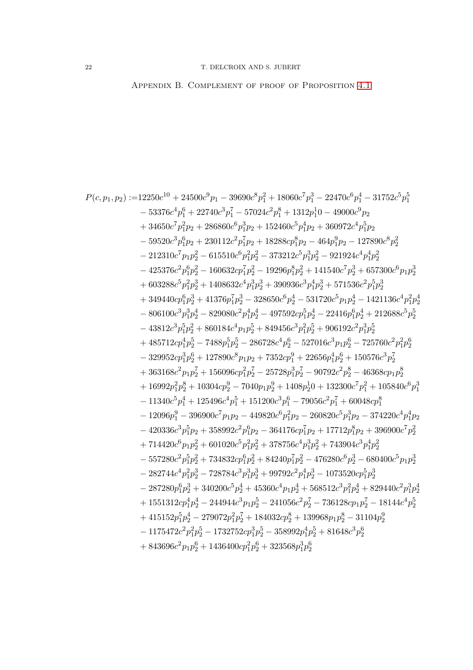APPENDIX B. COMPLEMENT OF PROOF OF PROPOSITION 4.1

$$
\begin{aligned} P(c,p_1,p_2) :=& 12250c^{10}+24500c^8p_1-39690c^8p_1^2+18060c^7p_1^3-22470c^6p_1^4-31752c^5p_1^5\\& -53376c^4p_1^6+22740c^3p_1^7-57024c^2p_1^8+1312p_1^10-49000c^9p_2\\& +34650c^7p_{1}^2p_2+286860c^6p_{1}^3p_2+152460c^5p_{1}^4p_2+360972c^4p_1^5p_2\\& -59520c^3p_1^6p_2+230112c^2p_1^7p_2+18288c p_1^8p_2-464p_1^9p_2-127890c^8p_2^2\\& -212310c^7p_1p_2^2-615510c^6p_{1}^2p_2^2-373212c^5p_{1}^3p_2^2-921924c^4p_1^4p_2^2\\& -425376c^2p_1^6p_2^2-160632c p_1^7p_2^2-19296p_1^5p_2^2+141540c^7p_2^3+657300c^6p_1p_2^3\\& +603288c^5p_1^2p_2^3+1408632c^4p_1^3p_2^3+390936c^3p_1^4p_2^3+571536c^2p_1^5p_2^3\\& +34940c p_1^6p_2^3+41376p_1^7p_2^3-328650c^6p_2^4-531720c^5p_1p_2^4-1421136c^4p_1^2p_2^4\\& -806100c^3p_1^3p_2^4-829080c^2p_1^4p_2^4-497592c p_1^5p_2^4-22416p_1^6p_2^4+212688c^5p_2^5\\& -43812c
$$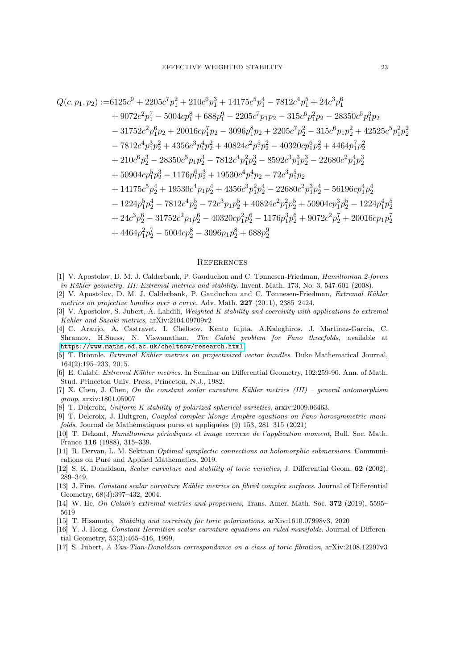$$
Q(c, p_1, p_2) := 6125c^9 + 2205c^7p_1^2 + 210c^6p_1^3 + 14175c^5p_1^4 - 7812c^4p_1^5 + 24c^3p_1^6
$$
  
+ 9072c<sup>2</sup>p<sub>1</sub><sup>7</sup> - 5004cp\_1^8 + 688p\_1^9 - 2205c^7p\_1p\_2 - 315c^6p\_1^2p\_2 - 28350c^5p\_1^3p\_2  
- 31752c<sup>2</sup>p\_1^6p\_2 + 20016cp\_1^7p\_2 - 3096p\_1^8p\_2 + 2205c^7p\_2^2 - 315c^6p\_1p\_2^2 + 42525c^5p\_1^2p\_2^2  
- 7812c<sup>4</sup>p\_1^3p\_2^2 + 4356c^3p\_1^4p\_2^2 + 40824c^2p\_1^5p\_2^2 - 40320cp\_1^6p\_2^2 + 4464p\_1^7p\_2^2  
+ 210c^6p\_2^3 - 28350c^5p\_1p\_2^3 - 7812c^4p\_1^2p\_2^3 - 8592c^3p\_1^3p\_2^3 - 22680c^2p\_1^4p\_2^3  
+ 50904cp\_1^5p\_2^3 - 1176p\_1^6p\_2^3 + 19530c^4p\_1^4p\_2 - 72c^3p\_1^5p\_2  
+ 14175c^5p\_2^4 + 19530c^4p\_1p\_2^4 + 4356c^3p\_1^2p\_2^4 - 22680c^2p\_1^3p\_2^4 - 56196cp\_1^4p\_2^4  
- 1224p\_1^5p\_2^4 - 7812c^4p\_2^5 - 72c^3p\_1p\_2^5 + 40824c^2p\_1^2p\_2^5 + 50904cp\_1^3p\_2^5 - 1224p\_1^4p\_2^5  
+ 24c^3p\_2^6 - 31752c^2p\_1

#### **REFERENCES**

- [1] V. Apostolov, D. M. J. Calderbank, P. Gauduchon and C. Tønnesen-Friedman, Hamiltonian 2-forms in Kähler geometry. III: Extremal metrics and stability. Invent. Math. 173, No. 3, 547-601 (2008).
- [2] V. Apostolov, D. M. J. Calderbank, P. Gauduchon and C. Tønnesen-Friedman, Extremal Kähler metrics on projective bundles over a curve. Adv. Math. 227 (2011), 2385–2424.
- [3] V. Apostolov, S. Jubert, A. Lahdili, Weighted K-stability and coercivity with applications to extremal Kahler and Sasaki metrics, arXiv:2104.09709v2
- [4] C. Araujo, A. Castravet, I. Cheltsov, Kento fujita, A.Kaloghiros, J. Martinez-Garcia, C. Shramov, H.Suess, N. Viswanathan, The Calabi problem for Fano threefolds, available at <https://www.maths.ed.ac.uk/cheltsov/research.html>
- [5] T. Brönnle. Extremal Kähler metrics on projectivized vector bundles. Duke Mathematical Journal, 164(2):195–233, 2015.
- [6] E. Calabi. Extremal Kähler metrics. In Seminar on Differential Geometry, 102:259-90. Ann. of Math. Stud. Princeton Univ. Press, Princeton, N.J., 1982.
- [7] X. Chen, J. Chen, On the constant scalar curvature Kähler metrics (III) general automorphism group, arxiv:1801.05907
- [8] T. Delcroix, Uniform K-stability of polarized spherical varieties, arxiv:2009.06463.
- [9] T. Delcroix, J. Hultgren, Coupled complex Monge-Ampère equations on Fano horosymmetric manifolds, Journal de Mathématiques pures et appliquées (9) 153, 281–315 (2021)
- [10] T. Delzant, Hamiltoniens périodiques et image convexe de l'application moment, Bull. Soc. Math. France 116 (1988), 315–339.
- [11] R. Dervan, L. M. Sektnan Optimal symplectic connections on holomorphic submersions. Communications on Pure and Applied Mathematics, 2019.
- [12] S. K. Donaldson, *Scalar curvature and stability of toric varieties*, J. Differential Geom. **62** (2002), 289–349.
- [13] J. Fine. Constant scalar curvature Kähler metrics on fibred complex surfaces. Journal of Differential Geometry, 68(3):397–432, 2004.
- [14] W. He, On Calabi's extremal metrics and properness, Trans. Amer. Math. Soc. 372 (2019), 5595–
- [15] T. Hisamoto, Stability and coercivity for toric polarizations. arXiv:1610.07998v3, 2020
- [16] Y.-J. Hong. Constant Hermitian scalar curvature equations on ruled manifolds. Journal of Differential Geometry, 53(3):465–516, 1999.
- [17] S. Jubert, A Yau-Tian-Donaldson correspondance on a class of toric fibration, arXiv:2108.12297v3